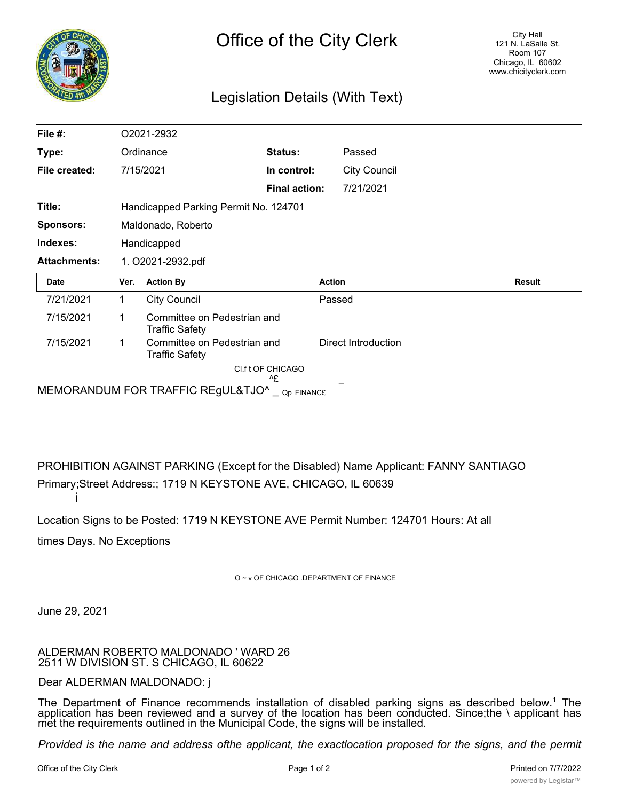

## Legislation Details (With Text)

| File #:             |                                       | O2021-2932                                           |                         |                     |        |
|---------------------|---------------------------------------|------------------------------------------------------|-------------------------|---------------------|--------|
| Type:               |                                       | Ordinance                                            | Status:                 | Passed              |        |
| File created:       |                                       | 7/15/2021                                            | In control:             | <b>City Council</b> |        |
|                     |                                       |                                                      | <b>Final action:</b>    | 7/21/2021           |        |
| Title:              | Handicapped Parking Permit No. 124701 |                                                      |                         |                     |        |
| <b>Sponsors:</b>    | Maldonado, Roberto                    |                                                      |                         |                     |        |
| Indexes:            | Handicapped                           |                                                      |                         |                     |        |
| <b>Attachments:</b> | 1. O2021-2932.pdf                     |                                                      |                         |                     |        |
| <b>Date</b>         | Ver.                                  | <b>Action By</b>                                     |                         | <b>Action</b>       | Result |
|                     |                                       |                                                      |                         |                     |        |
| 7/21/2021           | 1                                     | <b>City Council</b>                                  |                         | Passed              |        |
| 7/15/2021           | 1                                     | Committee on Pedestrian and<br><b>Traffic Safety</b> |                         |                     |        |
| 7/15/2021           |                                       | Committee on Pedestrian and<br><b>Traffic Safety</b> |                         | Direct Introduction |        |
|                     |                                       |                                                      | Cl.f t OF CHICAGO<br>٨£ |                     |        |

PROHIBITION AGAINST PARKING (Except for the Disabled) Name Applicant: FANNY SANTIAGO Primary;Street Address:; 1719 N KEYSTONE AVE, CHICAGO, IL 60639 i

Location Signs to be Posted: 1719 N KEYSTONE AVE Permit Number: 124701 Hours: At all

times Days. No Exceptions

O ~ v OF CHICAGO .DEPARTMENT OF FINANCE

June 29, 2021

ALDERMAN ROBERTO MALDONADO ' WARD 26 2511 W DIVISION ST. S CHICAGO, IL 60622

## Dear ALDERMAN MALDONADO: j

The Department of Finance recommends installation of disabled parking signs as described below.<sup>1</sup> The application has been reviewed and a survey of the location has been conducted. Since;the \ applicant has met the requirements outlined in the Municipal Code, the signs will be installed.

Provided is the name and address ofthe applicant, the exactlocation proposed for the signs, and the permit *number assigned. Please introduce an ordinance to post residential disabled parking signs at the location*